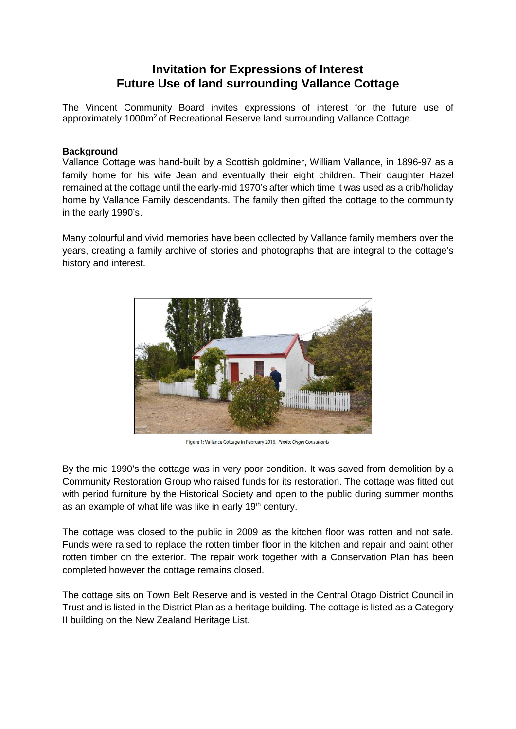# **Invitation for Expressions of Interest Future Use of land surrounding Vallance Cottage**

The Vincent Community Board invites expressions of interest for the future use of approximately 1000m<sup>2</sup> of Recreational Reserve land surrounding Vallance Cottage.

## **Background**

Vallance Cottage was hand-built by a Scottish goldminer, William Vallance, in 1896-97 as a family home for his wife Jean and eventually their eight children. Their daughter Hazel remained at the cottage until the early-mid 1970's after which time it was used as a crib/holiday home by Vallance Family descendants. The family then gifted the cottage to the community in the early 1990's.

Many colourful and vivid memories have been collected by Vallance family members over the years, creating a family archive of stories and photographs that are integral to the cottage's history and interest.



Figure 1: Vallance Cottage in February 2016. Photo: Origin Consultants

By the mid 1990's the cottage was in very poor condition. It was saved from demolition by a Community Restoration Group who raised funds for its restoration. The cottage was fitted out with period furniture by the Historical Society and open to the public during summer months as an example of what life was like in early 19<sup>th</sup> century.

The cottage was closed to the public in 2009 as the kitchen floor was rotten and not safe. Funds were raised to replace the rotten timber floor in the kitchen and repair and paint other rotten timber on the exterior. The repair work together with a Conservation Plan has been completed however the cottage remains closed.

The cottage sits on Town Belt Reserve and is vested in the Central Otago District Council in Trust and is listed in the District Plan as a heritage building. The cottage is listed as a Category II building on the New Zealand Heritage List.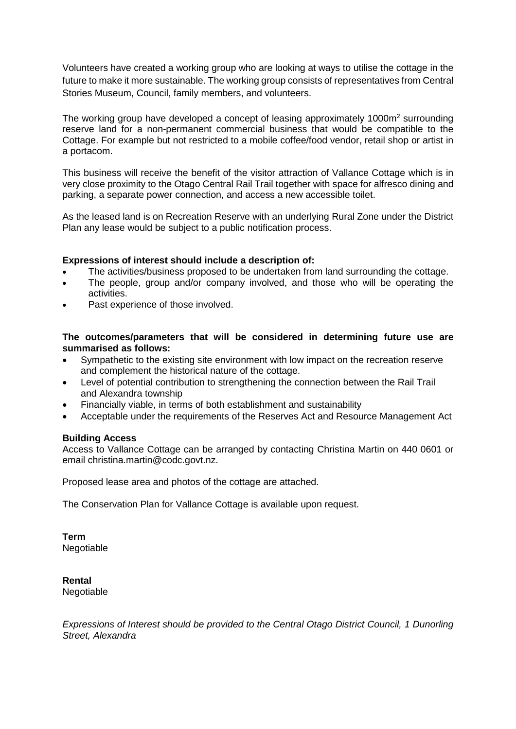Volunteers have created a working group who are looking at ways to utilise the cottage in the future to make it more sustainable. The working group consists of representatives from Central Stories Museum, Council, family members, and volunteers.

The working group have developed a concept of leasing approximately 1000m<sup>2</sup> surrounding reserve land for a non-permanent commercial business that would be compatible to the Cottage. For example but not restricted to a mobile coffee/food vendor, retail shop or artist in a portacom.

This business will receive the benefit of the visitor attraction of Vallance Cottage which is in very close proximity to the Otago Central Rail Trail together with space for alfresco dining and parking, a separate power connection, and access a new accessible toilet.

As the leased land is on Recreation Reserve with an underlying Rural Zone under the District Plan any lease would be subject to a public notification process.

### **Expressions of interest should include a description of:**

- The activities/business proposed to be undertaken from land surrounding the cottage.
- The people, group and/or company involved, and those who will be operating the activities.
- Past experience of those involved.

#### **The outcomes/parameters that will be considered in determining future use are summarised as follows:**

- Sympathetic to the existing site environment with low impact on the recreation reserve and complement the historical nature of the cottage.
- Level of potential contribution to strengthening the connection between the Rail Trail and Alexandra township
- Financially viable, in terms of both establishment and sustainability
- Acceptable under the requirements of the Reserves Act and Resource Management Act

#### **Building Access**

Access to Vallance Cottage can be arranged by contacting Christina Martin on 440 0601 or email christina.martin@codc.govt.nz.

Proposed lease area and photos of the cottage are attached.

The Conservation Plan for Vallance Cottage is available upon request.

**Term** Negotiable

**Rental** Negotiable

*Expressions of Interest should be provided to the Central Otago District Council, 1 Dunorling Street, Alexandra*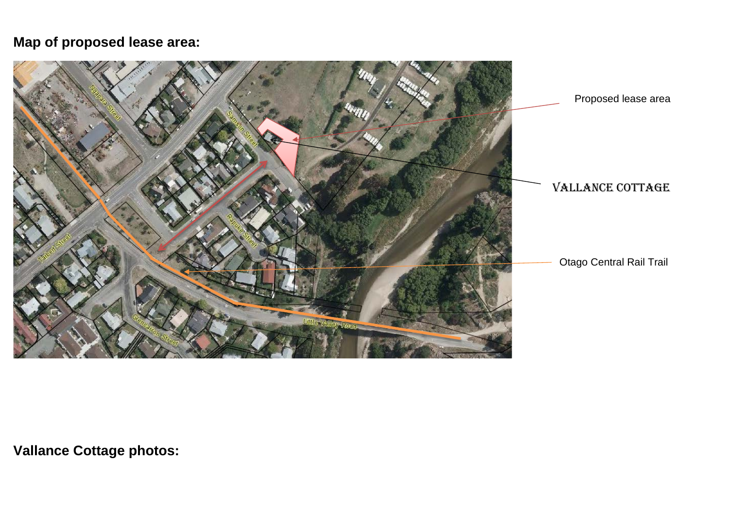# **Map of proposed lease area:**



**Vallance Cottage photos:**